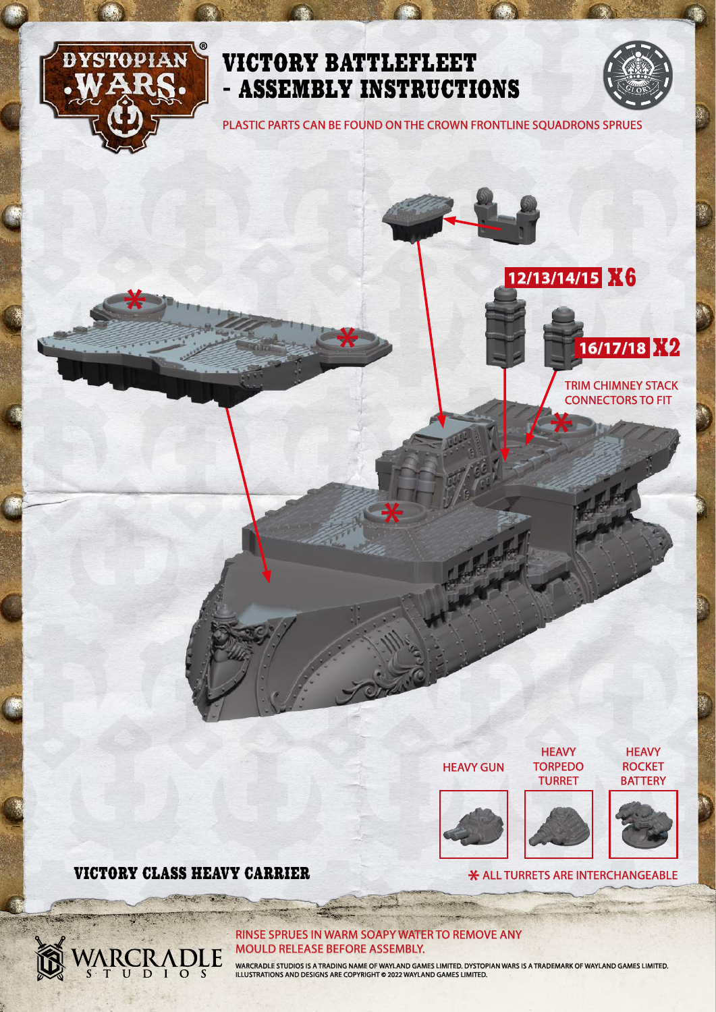



PLASTIC PARTS CAN BE FOUND ON THE CROWN FRONTLINE SQUADRONS SPRUES





TRIM CHIMNEY STACK CONNECTORS TO FIT

HEAVY GUN

**HEAVY** ROCKET **BATTERY** 





**HEAVY TORPEDO** 

**X ALL TURRETS ARE INTERCHANGEABLE** 



## VICTORY CLASS HEAVY CARRIER \*

ARCRADLE

RINSE SPRUES IN WARM SOAPY WATER TO REMOVE ANY MOULD RELEASE BEFORE ASSEMBLY.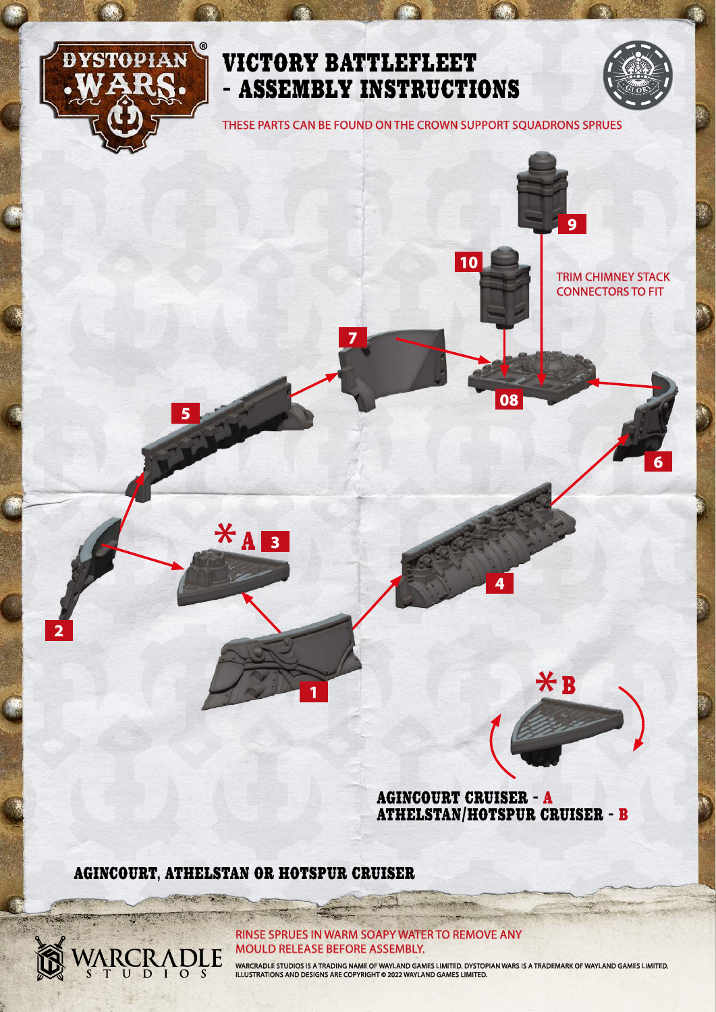

**2**

## VICTORY BATTLEFLEET - ASSEMBLY INSTRUCTIONS

**7**

THESE PARTS CAN BE FOUND ON THE CROWN SUPPORT SQUADRONS SPRUES

**10**

**6**

**9**

TRIM CHIMNEY STACK CONNECTORS TO FIT

 $*$ B

AGINCOURT CRUISER - A ATHELSTAN/HOTSPUR CRUISER - B

**4**

**08**

AGINCOURT, ATHELSTAN OR HOTSPUR CRUISER

**Report** 

ARCRADLE

**1**

 $*_{4}$ 

**5**

**3**

RINSE SPRUES IN WARM SOAPY WATER TO REMOVE ANY MOULD RELEASE BEFORE ASSEMBLY.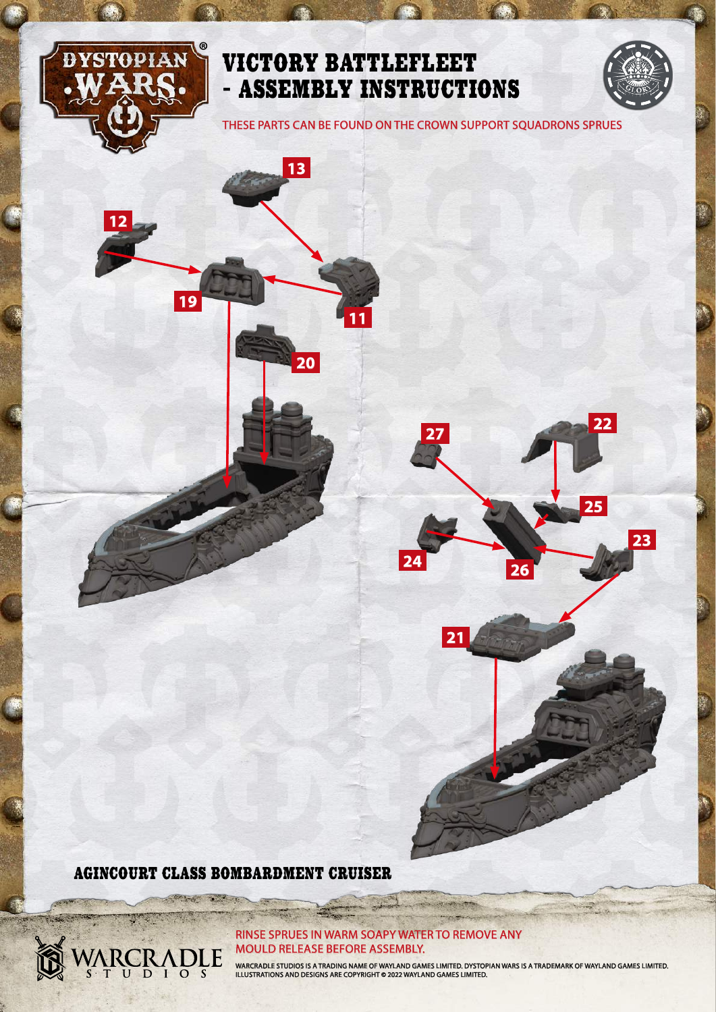

**12**

**19**

## VICTORY BATTLEFLEET - ASSEMBLY INSTRUCTIONS

**13**

**20**

**11**

THESE PARTS CAN BE FOUND ON THE CROWN SUPPORT SQUADRONS SPRUES

**<sup>22</sup> <sup>27</sup>**

**<sup>24</sup> <sup>26</sup>**

**21**

**23**

**25**



**Carryon T** 

ARCRADLE

#### RINSE SPRUES IN WARM SOAPY WATER TO REMOVE ANY MOULD RELEASE BEFORE ASSEMBLY.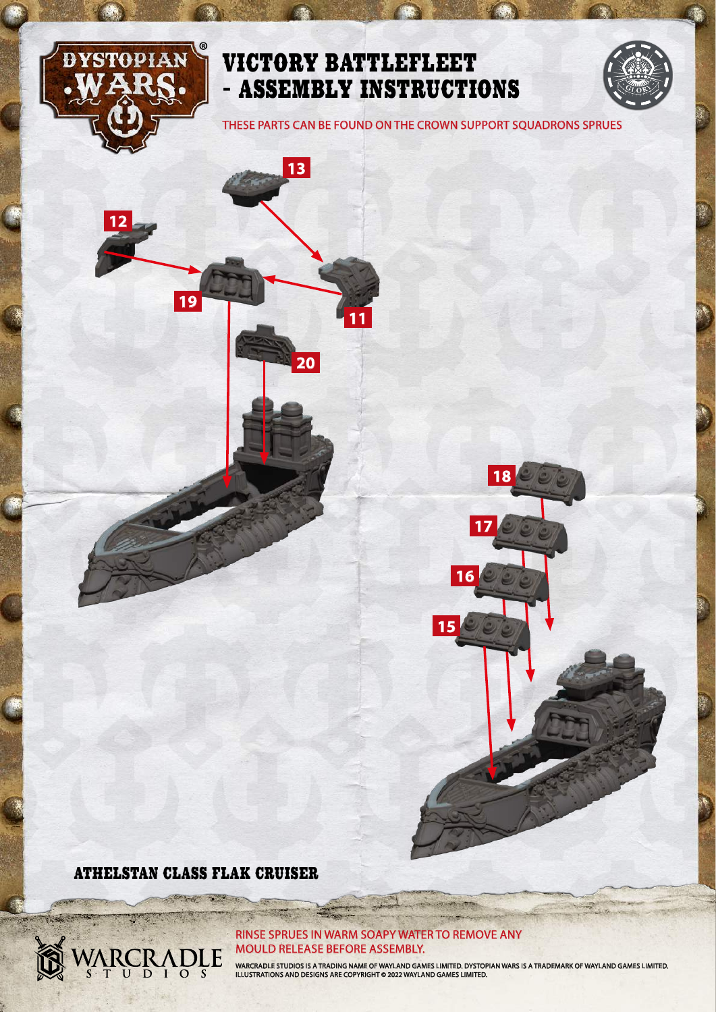

**12**

**19**

## VICTORY BATTLEFLEET - ASSEMBLY INSTRUCTIONS

**13**

**20**

**11**

THESE PARTS CAN BE FOUND ON THE CROWN SUPPORT SQUADRONS SPRUES

#### ATHELSTAN CLASS FLAK CRUISER

2500

**CONTRACTOR** 

ARCRADLE

#### RINSE SPRUES IN WARM SOAPY WATER TO REMOVE ANY MOULD RELEASE BEFORE ASSEMBLY.

WARCRADLE STUDIOS IS A TRADING NAME OF WAYLAND GAMES LIMITED. DYSTOPIAN WARS IS A TRADEMARK OF WAYLAND GAMES LIMITED.<br>ILLUSTRATIONS AND DESIGNS ARE COPYRIGHT © 2022 WAYLAND GAMES LIMITED.

**15**

**16**

**17**

**18**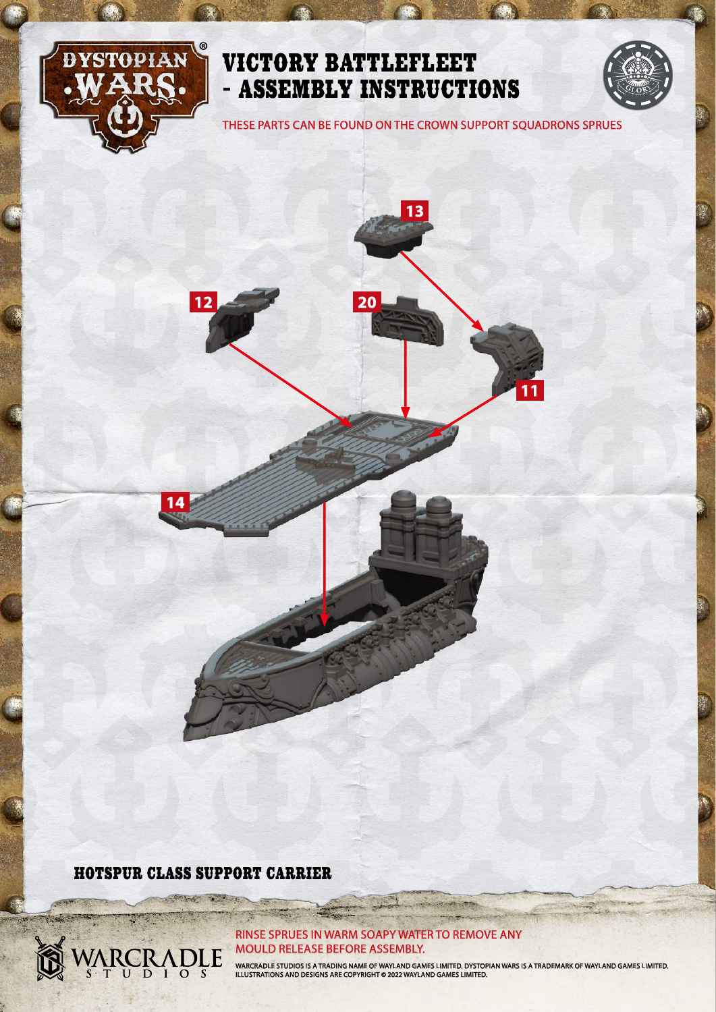

**20**



THESE PARTS CAN BE FOUND ON THE CROWN SUPPORT SQUADRONS SPRUES

**13**

**11**

HOTSPUR CLASS SUPPORT CARRIER

**STATE** 

**CONTRACTOR** 

ARCRADLE

**14**

**12**

#### RINSE SPRUES IN WARM SOAPY WATER TO REMOVE ANY MOULD RELEASE BEFORE ASSEMBLY.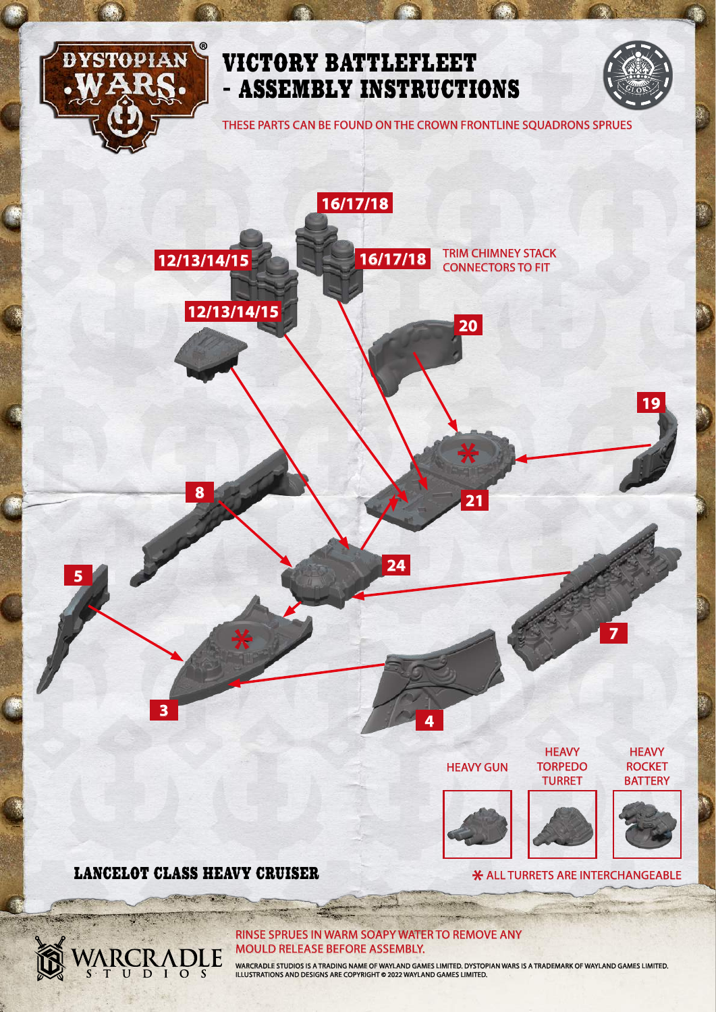

THESE PARTS CAN BE FOUND ON THE CROWN FRONTLINE SQUADRONS SPRUES

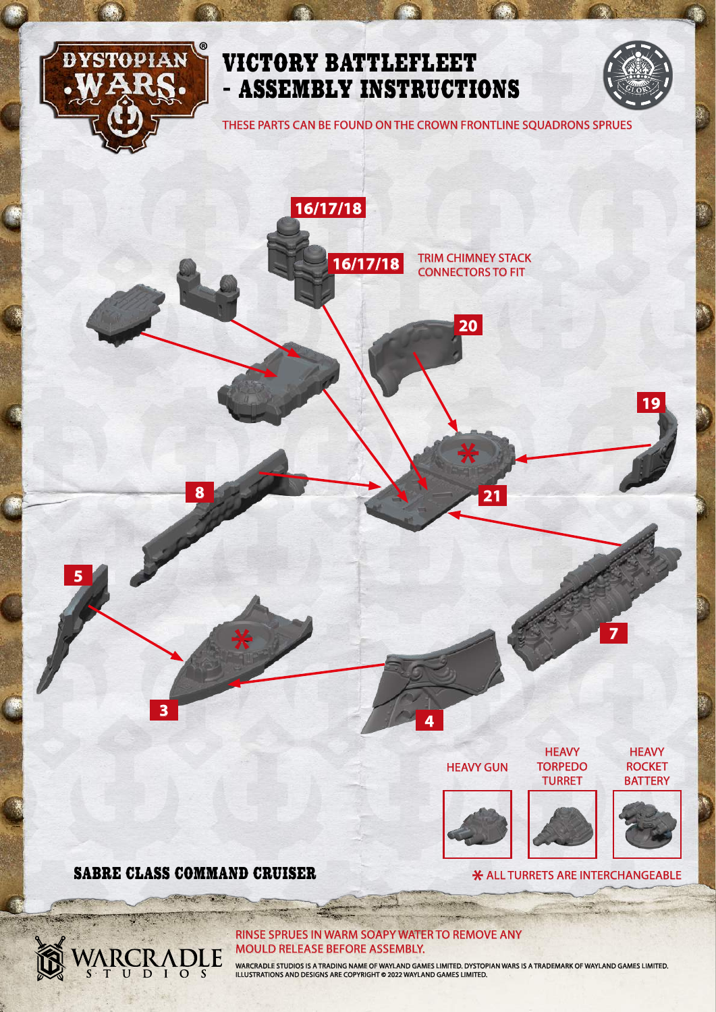

THESE PARTS CAN BE FOUND ON THE CROWN FRONTLINE SQUADRONS SPRUES

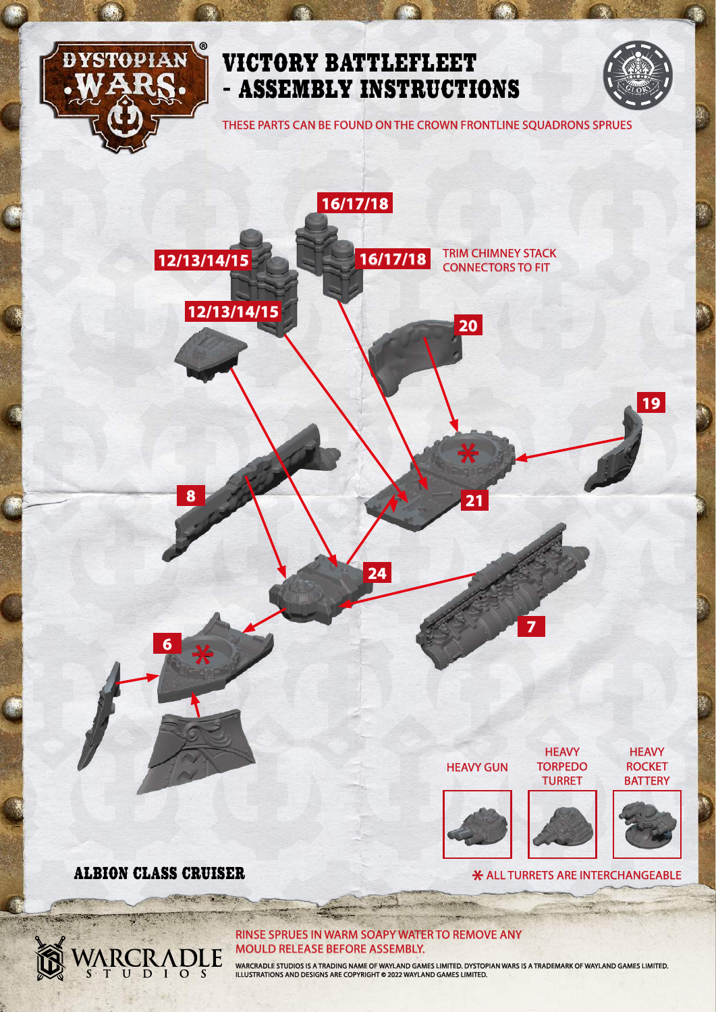

THESE PARTS CAN BE FOUND ON THE CROWN FRONTLINE SQUADRONS SPRUES



RINSE SPRUES IN WARM SOAPY WATER TO REMOVE ANY MOULD RELEASE BEFORE ASSEMBLY.

**CONTRACTOR** 

ARCRADLE

**STATE**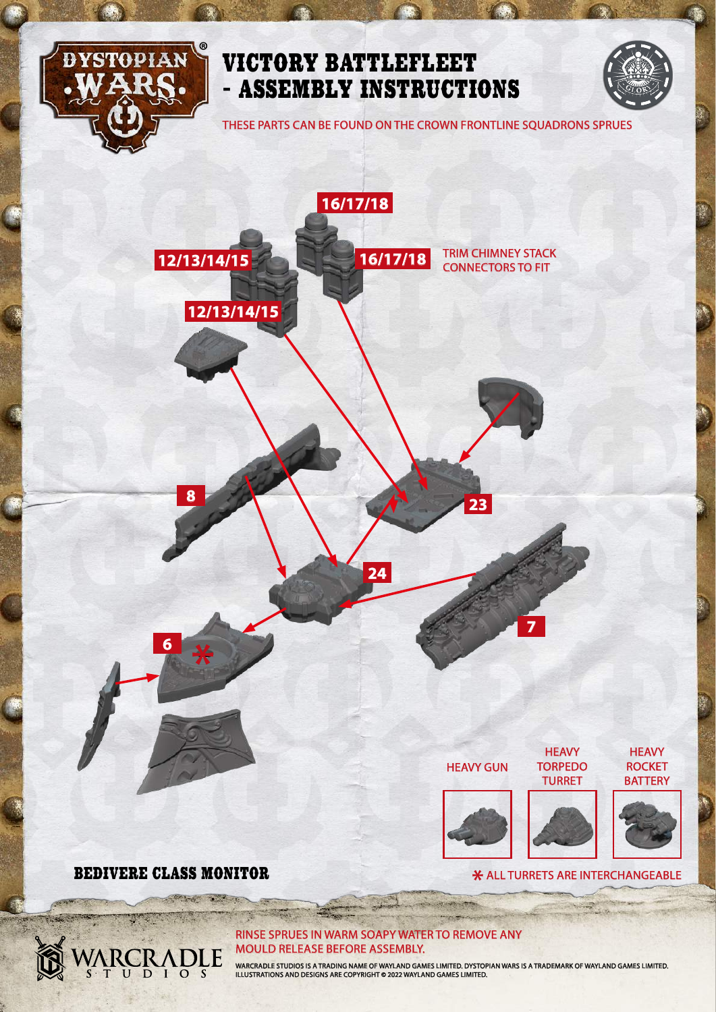

ARCRADLE

## VICTORY BATTLEFLEET - ASSEMBLY INSTRUCTIONS

THESE PARTS CAN BE FOUND ON THE CROWN FRONTLINE SQUADRONS SPRUES



**X** ALL TURRETS ARE INTERCHANGEABLE

RINSE SPRUES IN WARM SOAPY WATER TO REMOVE ANY MOULD RELEASE BEFORE ASSEMBLY.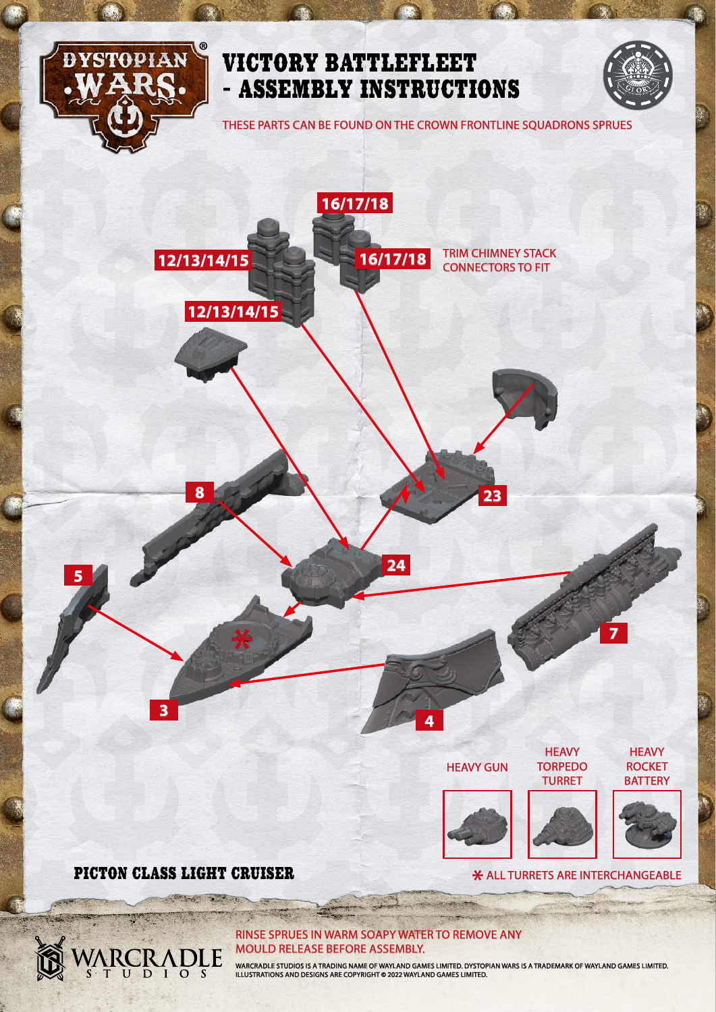

THESE PARTS CAN BE FOUND ON THE CROWN FRONTLINE SQUADRONS SPRUES

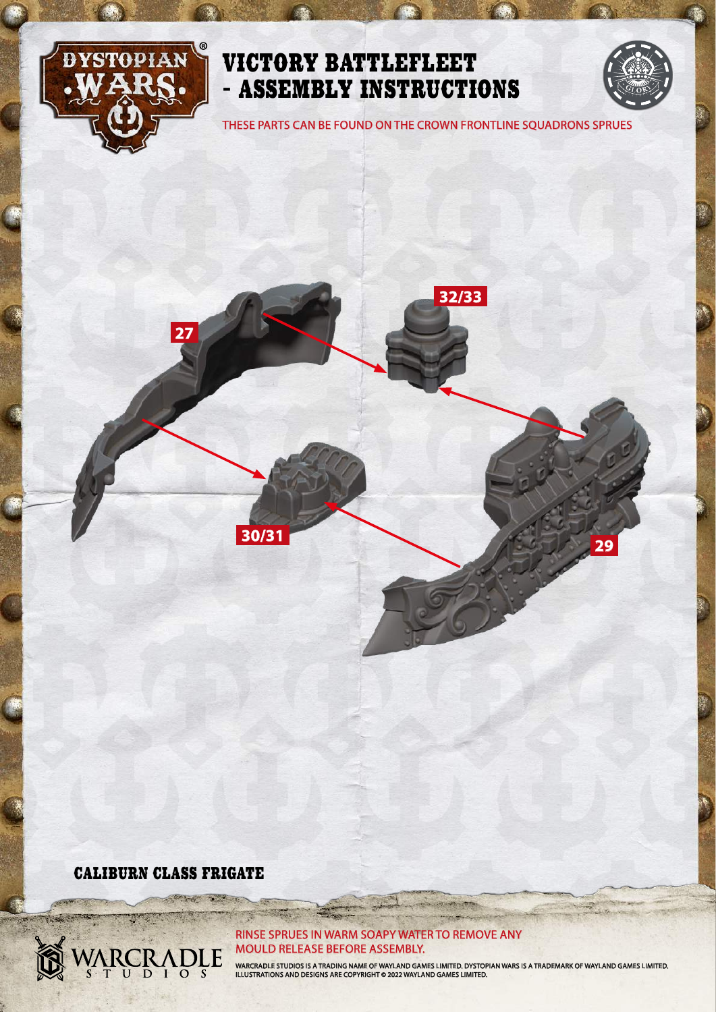

THESE PARTS CAN BE FOUND ON THE CROWN FRONTLINE SQUADRONS SPRUES

**32/33**

**29**

# **27**

**30/31**

CALIBURN CLASS FRIGATE

ARCRADLE

S

**SEARCH AND IN** 

#### RINSE SPRUES IN WARM SOAPY WATER TO REMOVE ANY MOULD RELEASE BEFORE ASSEMBLY.